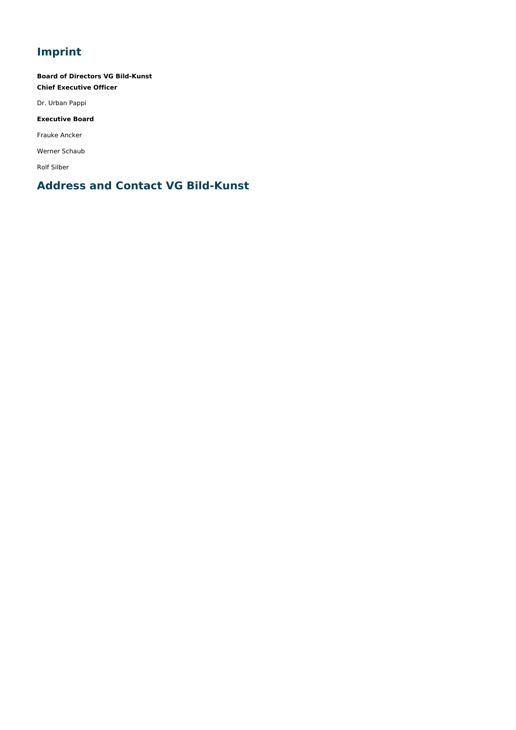# **Imprint**

**Board of Directors VG Bild-Kunst Chief Executive Officer**

Dr. Urban Pappi

## **Executive Board**

Frauke Ancker

Werner Schaub

Rolf Silber

# **Address and Contact VG Bild-Kunst**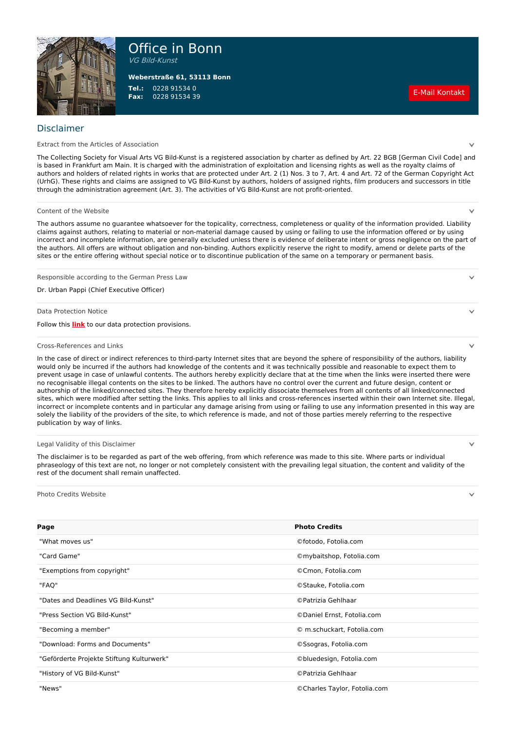

Office in Bonn

VG Bild-Kunst

**Tel.: Fax:** 0228 91534 0 <sup>0228</sup> <sup>91534</sup> <sup>39</sup> E-Mail [Kontakt](javascript:linkTo_UnCryptMailto(%27ocknvq%2CkphqBdknfmwpuv0fg%27);) **Weberstraße 61, 53113 Bonn**

### Disclaimer

Extract from the Articles of Association

The Collecting Society for Visual Arts VG Bild-Kunst is a registered association by charter as defined by Art. 22 BGB [German Civil Code] and is based in Frankfurt am Main. It is charged with the administration of exploitation and licensing rights as well as the royalty claims of authors and holders of related rights in works that are protected under Art. 2 (1) Nos. 3 to 7, Art. 4 and Art. 72 of the German Copyright Act (UrhG). These rights and claims are assigned to VG Bild-Kunst by authors, holders of assigned rights, film producers and successors in title through the administration agreement (Art. 3). The activities of VG Bild-Kunst are not profit-oriented.

#### Content of the Website

The authors assume no guarantee whatsoever for the topicality, correctness, completeness or quality of the information provided. Liability claims against authors, relating to material or non-material damage caused by using or failing to use the information offered or by using incorrect and incomplete information, are generally excluded unless there is evidence of deliberate intent or gross negligence on the part of the authors. All offers are without obligation and non-binding. Authors explicitly reserve the right to modify, amend or delete parts of the sites or the entire offering without special notice or to discontinue publication of the same on a temporary or permanent basis.

Responsible according to the German Press Law

Dr. Urban Pappi (Chief Executive Officer)

Data Protection Notice

Follow this **[link](https://www.bildkunst.de/en/footer/data-privacy)** to our data protection provisions.

#### Cross-References and Links

In the case of direct or indirect references to third-party Internet sites that are beyond the sphere of responsibility of the authors, liability would only be incurred if the authors had knowledge of the contents and it was technically possible and reasonable to expect them to prevent usage in case of unlawful contents. The authors hereby explicitly declare that at the time when the links were inserted there were no recognisable illegal contents on the sites to be linked. The authors have no control over the current and future design, content or authorship of the linked/connected sites. They therefore hereby explicitly dissociate themselves from all contents of all linked/connected sites, which were modified after setting the links. This applies to all links and cross-references inserted within their own Internet site. Illegal, incorrect or incomplete contents and in particular any damage arising from using or failing to use any information presented in this way are solely the liability of the providers of the site, to which reference is made, and not of those parties merely referring to the respective publication by way of links.

#### Legal Validity of this Disclaimer

The disclaimer is to be regarded as part of the web offering, from which reference was made to this site. Where parts or individual phraseology of this text are not, no longer or not completely consistent with the prevailing legal situation, the content and validity of the rest of the document shall remain unaffected.

Photo Credits Website

| Page                                      | <b>Photo Credits</b>         |
|-------------------------------------------|------------------------------|
| "What moves us"                           | ©fotodo, Fotolia.com         |
| "Card Game"                               | ©mybaitshop, Fotolia.com     |
| "Exemptions from copyright"               | ©Cmon, Fotolia.com           |
| "FAQ"                                     | ©Stauke, Fotolia.com         |
| "Dates and Deadlines VG Bild-Kunst"       | © Patrizia Gehlhaar          |
| "Press Section VG Bild-Kunst"             | © Daniel Ernst, Fotolia.com  |
| "Becoming a member"                       | © m.schuckart, Fotolia.com   |
| "Download: Forms and Documents"           | ©Ssogras, Fotolia.com        |
| "Geförderte Projekte Stiftung Kulturwerk" | ©bluedesign, Fotolia.com     |
| "History of VG Bild-Kunst"                | © Patrizia Gehlhaar          |
| "News"                                    | ©Charles Taylor, Fotolia.com |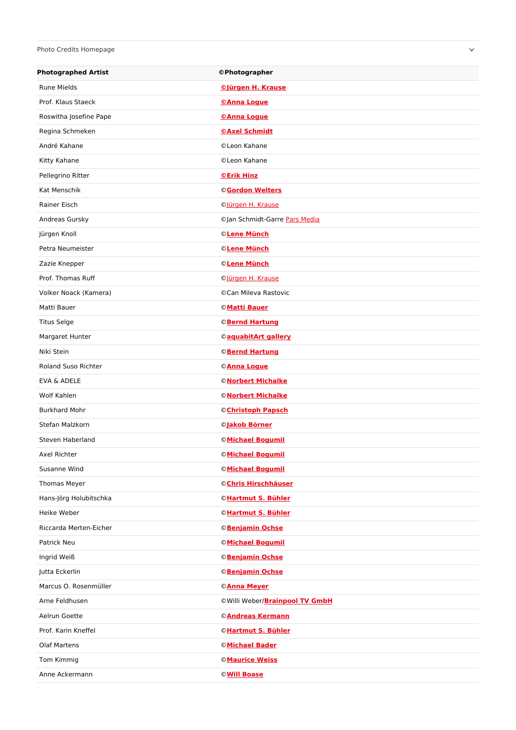## Photo Credits Homepage

| <b>Photographed Artist</b> | © Photographer                         |
|----------------------------|----------------------------------------|
| <b>Rune Mields</b>         | <b><i><u>©Jürgen H. Krause</u></i></b> |
| Prof. Klaus Staeck         | <b>©Anna Logue</b>                     |
| Roswitha Josefine Pape     | <b>©Anna Logue</b>                     |
| Regina Schmeken            | <b>©Axel Schmidt</b>                   |
| André Kahane               | © Leon Kahane                          |
| Kitty Kahane               | © Leon Kahane                          |
| Pellegrino Ritter          | <b>©Erik Hinz</b>                      |
| Kat Menschik               | <b>©Gordon Welters</b>                 |
| Rainer Eisch               | Olürgen H. Krause                      |
| Andreas Gursky             | ©Jan Schmidt-Garre Pars Media          |
| Jürgen Knoll               | © Lene Münch                           |
| Petra Neumeister           | © Lene Münch                           |
| Zazie Knepper              | © Lene Münch                           |
| Prof. Thomas Ruff          | ©Jürgen H. Krause                      |
| Volker Noack (Kamera)      | ©Can Mileva Rastovic                   |
| Matti Bauer                | <b>©Matti Bauer</b>                    |
| <b>Titus Selge</b>         | <b>©Bernd Hartung</b>                  |
| Margaret Hunter            | ©aquabitArt gallery                    |
| Niki Stein                 | <b>©Bernd Hartung</b>                  |
| <b>Roland Suso Richter</b> | ©Anna Logue                            |
| EVA & ADELE                | <b>©Norbert Michalke</b>               |
| Wolf Kahlen                | <b>©Norbert Michalke</b>               |
| <b>Burkhard Mohr</b>       | © Christoph Papsch                     |
| Stefan Malzkorn            | ©Jakob Börner                          |
| Steven Haberland           | <b>©Michael Bogumil</b>                |
| Axel Richter               | © Michael Bogumil                      |
| Susanne Wind               | <b>©Michael Bogumil</b>                |
| Thomas Meyer               | ©Chris Hirschhäuser                    |
| Hans-Jörg Holubitschka     | <b>©Hartmut S. Bühler</b>              |
| Heike Weber                | <b>©Hartmut S. Bühler</b>              |
| Riccarda Merten-Eicher     | <b>©Benjamin Ochse</b>                 |
| Patrick Neu                | <b>©Michael Bogumil</b>                |
| Ingrid Weiß                | <b>©Benjamin Ochse</b>                 |
| Jutta Eckerlin             | <b>©Benjamin Ochse</b>                 |
| Marcus O. Rosenmüller      | ©Anna Meyer                            |
| Arne Feldhusen             | ©Willi Weber/ <b>Brainpool TV GmbH</b> |
| Aelrun Goette              | ©Andreas Kermann                       |
| Prof. Karin Kneffel        | <b>©Hartmut S. Bühler</b>              |
| Olaf Martens               | <b>©Michael Bader</b>                  |
| Tom Kimmig                 | <b>©Maurice Weiss</b>                  |
| Anne Ackermann             | © Will Boase                           |

 $\checkmark$